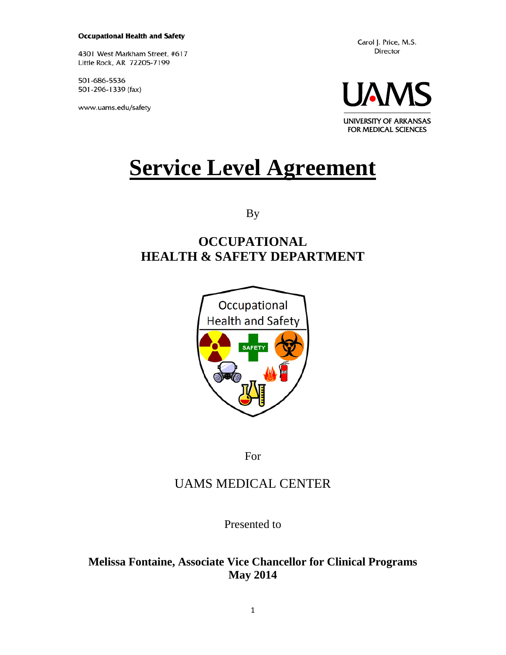#### **Occupational Health and Safety**

4301 West Markham Street, #617 Little Rock, AR 72205-7199

501-686-5536 501-296-1339 (fax)

www.uams.edu/safety

Carol J. Price, M.S. Director



# **Service Level Agreement**

By

# **OCCUPATIONAL HEALTH & SAFETY DEPARTMENT**



For

# UAMS MEDICAL CENTER

Presented to

# **Melissa Fontaine, Associate Vice Chancellor for Clinical Programs May 2014**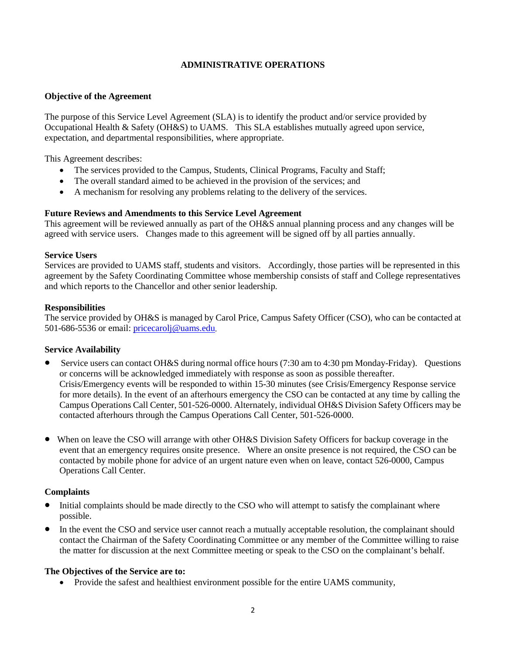#### **ADMINISTRATIVE OPERATIONS**

#### **Objective of the Agreement**

The purpose of this Service Level Agreement (SLA) is to identify the product and/or service provided by Occupational Health & Safety (OH&S) to UAMS. This SLA establishes mutually agreed upon service, expectation, and departmental responsibilities, where appropriate.

This Agreement describes:

- The services provided to the Campus, Students, Clinical Programs, Faculty and Staff;
- The overall standard aimed to be achieved in the provision of the services; and
- A mechanism for resolving any problems relating to the delivery of the services.

#### **Future Reviews and Amendments to this Service Level Agreement**

This agreement will be reviewed annually as part of the OH&S annual planning process and any changes will be agreed with service users. Changes made to this agreement will be signed off by all parties annually.

#### **Service Users**

Services are provided to UAMS staff, students and visitors. Accordingly, those parties will be represented in this agreement by the Safety Coordinating Committee whose membership consists of staff and College representatives and which reports to the Chancellor and other senior leadership.

#### **Responsibilities**

The service provided by OH&S is managed by Carol Price, Campus Safety Officer (CSO), who can be contacted at 501-686-5536 or email: [pricecarolj@uams.edu](mailto:pricecarolj@uams.edu).

#### **Service Availability**

- Service users can contact OH&S during normal office hours (7:30 am to 4:30 pm Monday-Friday). Questions or concerns will be acknowledged immediately with response as soon as possible thereafter. Crisis/Emergency events will be responded to within 15-30 minutes (see Crisis/Emergency Response service for more details). In the event of an afterhours emergency the CSO can be contacted at any time by calling the Campus Operations Call Center, 501-526-0000. Alternately, individual OH&S Division Safety Officers may be contacted afterhours through the Campus Operations Call Center, 501-526-0000.
- When on leave the CSO will arrange with other OH&S Division Safety Officers for backup coverage in the event that an emergency requires onsite presence. Where an onsite presence is not required, the CSO can be contacted by mobile phone for advice of an urgent nature even when on leave, contact 526-0000, Campus Operations Call Center.

#### **Complaints**

- Initial complaints should be made directly to the CSO who will attempt to satisfy the complainant where possible.
- In the event the CSO and service user cannot reach a mutually acceptable resolution, the complainant should contact the Chairman of the Safety Coordinating Committee or any member of the Committee willing to raise the matter for discussion at the next Committee meeting or speak to the CSO on the complainant's behalf.

#### **The Objectives of the Service are to:**

• Provide the safest and healthiest environment possible for the entire UAMS community,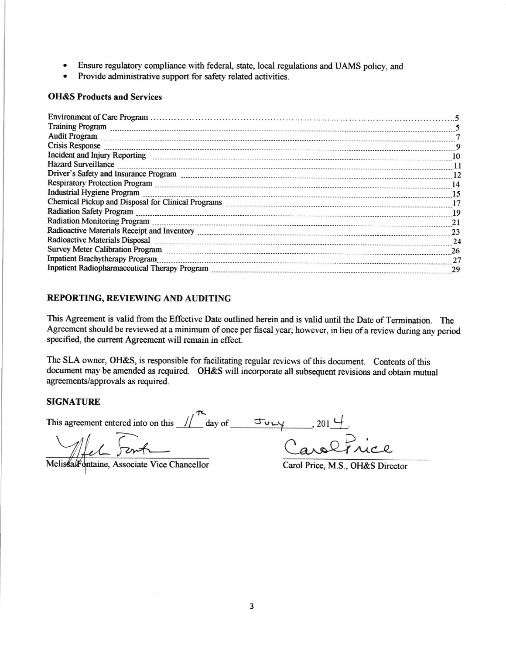- . Ensure regulatory compliance with federal, state, local regulations and UAMS policy, and
- Provide administrative support for safety related activities.

#### OH&S Products and Services

| Training Program <u> state of the contract of the contract of the contract of the contract of the contract of the contract of the contract of the contract of the contract of the contract of the contract of the contract of </u>  |     |
|-------------------------------------------------------------------------------------------------------------------------------------------------------------------------------------------------------------------------------------|-----|
|                                                                                                                                                                                                                                     |     |
| 0. Crisis Response                                                                                                                                                                                                                  |     |
|                                                                                                                                                                                                                                     |     |
| Hazard Surveillance <i>communications</i> and the contract of the contract of the contract of the contract of the contract of the contract of the contract of the contract of the contract of the contract of the contract of the c | -11 |
|                                                                                                                                                                                                                                     |     |
|                                                                                                                                                                                                                                     |     |
| 15                                                                                                                                                                                                                                  |     |
|                                                                                                                                                                                                                                     |     |
| Radiation Safety Program 2010 Commission and the contract of the contract of the contract of the contract of the contract of the contract of the contract of the contract of the contract of the contract of the contract of t      |     |
|                                                                                                                                                                                                                                     |     |
|                                                                                                                                                                                                                                     |     |
| Radioactive Materials Disposal 24                                                                                                                                                                                                   |     |
|                                                                                                                                                                                                                                     |     |
| Inpatient Brachytherapy Program                                                                                                                                                                                                     |     |
|                                                                                                                                                                                                                                     |     |
|                                                                                                                                                                                                                                     |     |

#### REPORTING, REVIEWING AND AUDITING

This Agreement is valid from the Effective Date outlined herein and is valid until the Date of Termination. The Agreement should be reviewed at a minimum of once per fiscal year; however, in lieu of a review during any period specified, the current Agreement will remain in effect.

The SLA owner, OH&S, is responsible for facilitating regular reviews of this document. Contents of this document may be amended as required. OH&S will incorporate all subsequent revisions and obtain mutual agreements/approvals as required.

#### SIGNATURE

This agreement entered into on this  $\frac{1}{\sqrt{2}}$  day of  $\frac{1}{\sqrt{2}}$ , 201  $\frac{1}{\sqrt{2}}$ .

Melissa/Fontaine, Associate Vice Chancellor Carol Price, M.S., OH&S Director

Caroltrice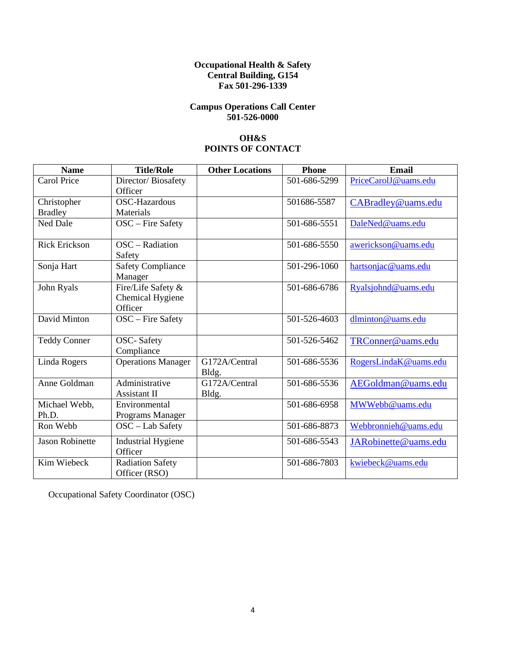#### **Occupational Health & Safety Central Building, G154 Fax 501-296-1339**

#### **Campus Operations Call Center 501-526-0000**

#### **OH&S POINTS OF CONTACT**

| <b>Name</b>            | <b>Title/Role</b>         | <b>Other Locations</b> | <b>Phone</b> | <b>Email</b>          |
|------------------------|---------------------------|------------------------|--------------|-----------------------|
| <b>Carol Price</b>     | Director/Biosafety        |                        | 501-686-5299 | PriceCarolJ@uams.edu  |
|                        | Officer                   |                        |              |                       |
| Christopher            | <b>OSC-Hazardous</b>      |                        | 501686-5587  | CABradley@uams.edu    |
| <b>Bradley</b>         | Materials                 |                        |              |                       |
| <b>Ned Dale</b>        | OSC - Fire Safety         |                        | 501-686-5551 | DaleNed@uams.edu      |
| <b>Rick Erickson</b>   | OSC - Radiation           |                        | 501-686-5550 | awerickson@uams.edu   |
|                        | Safety                    |                        |              |                       |
| Sonja Hart             | <b>Safety Compliance</b>  |                        | 501-296-1060 | hartsonjac@uams.edu   |
|                        | Manager                   |                        |              |                       |
| John Ryals             | Fire/Life Safety $\&$     |                        | 501-686-6786 | Ryalsjohnd@uams.edu   |
|                        | Chemical Hygiene          |                        |              |                       |
|                        | Officer                   |                        |              |                       |
| David Minton           | OSC - Fire Safety         |                        | 501-526-4603 | dlminton@uams.edu     |
| <b>Teddy Conner</b>    | <b>OSC-Safety</b>         |                        | 501-526-5462 | TRConner@uams.edu     |
|                        | Compliance                |                        |              |                       |
| Linda Rogers           | <b>Operations Manager</b> | G172A/Central          | 501-686-5536 | RogersLindaK@uams.edu |
|                        |                           | Bldg.                  |              |                       |
| Anne Goldman           | Administrative            | G172A/Central          | 501-686-5536 | AEGoldman@uams.edu    |
|                        | Assistant II              | Bldg.                  |              |                       |
| Michael Webb,          | Environmental             |                        | 501-686-6958 | MWWebb@uams.edu       |
| Ph.D.                  | Programs Manager          |                        |              |                       |
| Ron Webb               | $OSC - Lab$ Safety        |                        | 501-686-8873 | Webbronnieh@uams.edu  |
| <b>Jason Robinette</b> | <b>Industrial Hygiene</b> |                        | 501-686-5543 | JARobinette@uams.edu  |
|                        | Officer                   |                        |              |                       |
| Kim Wiebeck            | <b>Radiation Safety</b>   |                        | 501-686-7803 | kwiebeck@uams.edu     |
|                        | Officer (RSO)             |                        |              |                       |

Occupational Safety Coordinator (OSC)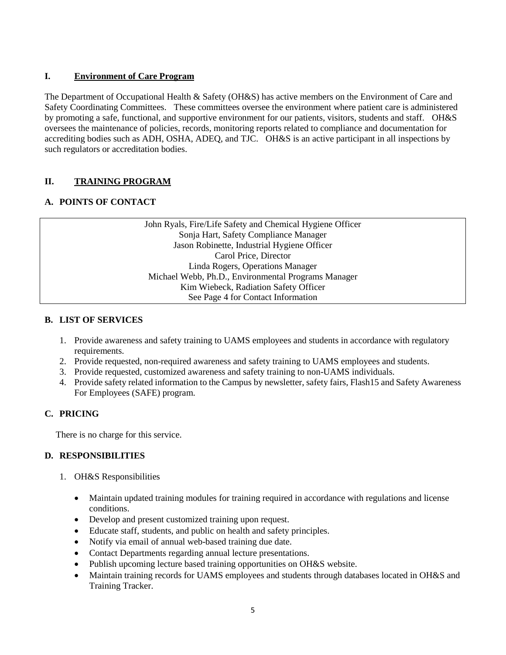# **I. Environment of Care Program**

The Department of Occupational Health & Safety (OH&S) has active members on the Environment of Care and Safety Coordinating Committees. These committees oversee the environment where patient care is administered by promoting a safe, functional, and supportive environment for our patients, visitors, students and staff. OH&S oversees the maintenance of policies, records, monitoring reports related to compliance and documentation for accrediting bodies such as ADH, OSHA, ADEQ, and TJC. OH&S is an active participant in all inspections by such regulators or accreditation bodies.

# **II. TRAINING PROGRAM**

# **A. POINTS OF CONTACT**

John Ryals, Fire/Life Safety and Chemical Hygiene Officer Sonja Hart, Safety Compliance Manager Jason Robinette, Industrial Hygiene Officer Carol Price, Director Linda Rogers, Operations Manager Michael Webb, Ph.D., Environmental Programs Manager Kim Wiebeck, Radiation Safety Officer See Page 4 for Contact Information

#### **B. LIST OF SERVICES**

- 1. Provide awareness and safety training to UAMS employees and students in accordance with regulatory requirements.
- 2. Provide requested, non-required awareness and safety training to UAMS employees and students.
- 3. Provide requested, customized awareness and safety training to non-UAMS individuals.
- 4. Provide safety related information to the Campus by newsletter, safety fairs, Flash15 and Safety Awareness For Employees (SAFE) program.

# **C. PRICING**

There is no charge for this service.

- 1. OH&S Responsibilities
	- Maintain updated training modules for training required in accordance with regulations and license conditions.
	- Develop and present customized training upon request.
	- Educate staff, students, and public on health and safety principles.
	- Notify via email of annual web-based training due date.
	- Contact Departments regarding annual lecture presentations.
	- Publish upcoming lecture based training opportunities on OH&S website.
	- Maintain training records for UAMS employees and students through databases located in OH&S and Training Tracker.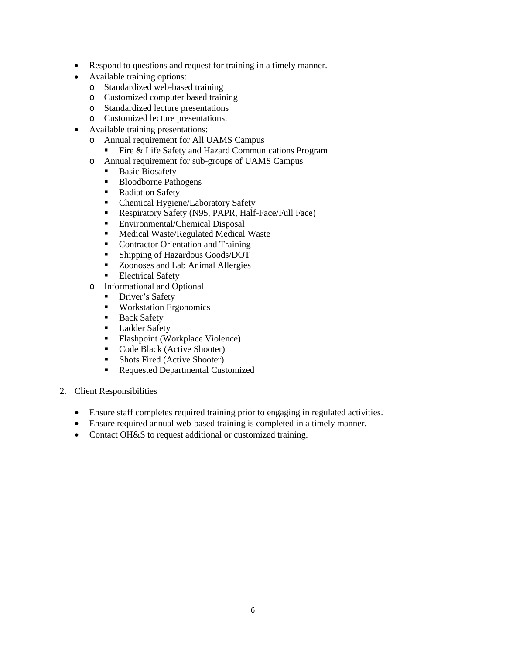- Respond to questions and request for training in a timely manner.
- Available training options:
	- o Standardized web-based training
	- o Customized computer based training
	- o Standardized lecture presentations
	- o Customized lecture presentations.
- Available training presentations:
	- o Annual requirement for All UAMS Campus<br>■ Fire & Life Safety and Hazard Commun
		- Fire & Life Safety and Hazard Communications Program
	- o Annual requirement for sub-groups of UAMS Campus
		- Basic Biosafety
		- **Bloodborne Pathogens**
		- Radiation Safety<br>• Chemical Hygien
		- Chemical Hygiene/Laboratory Safety
		- Respiratory Safety (N95, PAPR, Half-Face/Full Face)
		- **Environmental/Chemical Disposal**
		- **Medical Waste/Regulated Medical Waste**
		- Contractor Orientation and Training
		- Shipping of Hazardous Goods/DOT
		- Zoonoses and Lab Animal Allergies
		- **Electrical Safety**
	- o Informational and Optional
		- Driver's Safety
		- **Workstation Ergonomics**
		- **Back Safety**
		- **Ladder Safety**
		- **Flashpoint (Workplace Violence)**
		- Code Black (Active Shooter)
		- Shots Fired (Active Shooter)
		- Requested Departmental Customized
- 2. Client Responsibilities
	- Ensure staff completes required training prior to engaging in regulated activities.
	- Ensure required annual web-based training is completed in a timely manner.
	- Contact OH&S to request additional or customized training.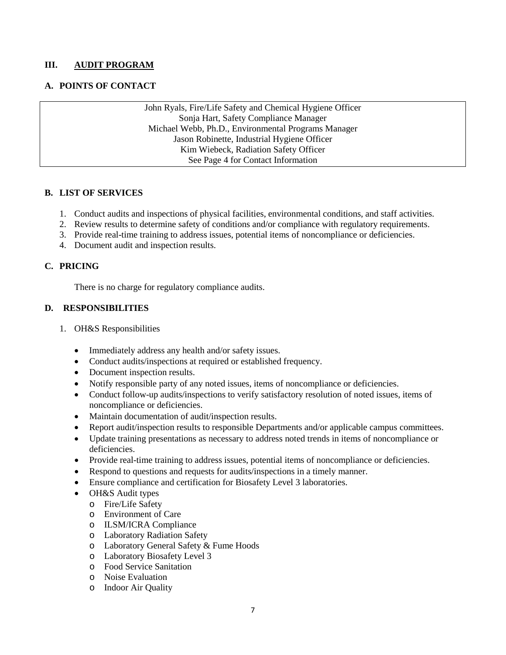#### **III. AUDIT PROGRAM**

#### **A. POINTS OF CONTACT**

John Ryals, Fire/Life Safety and Chemical Hygiene Officer Sonja Hart, Safety Compliance Manager Michael Webb, Ph.D., Environmental Programs Manager Jason Robinette, Industrial Hygiene Officer Kim Wiebeck, Radiation Safety Officer See Page 4 for Contact Information

#### **B. LIST OF SERVICES**

- 1. Conduct audits and inspections of physical facilities, environmental conditions, and staff activities.
- 2. Review results to determine safety of conditions and/or compliance with regulatory requirements.
- 3. Provide real-time training to address issues, potential items of noncompliance or deficiencies.
- 4. Document audit and inspection results.

## **C. PRICING**

There is no charge for regulatory compliance audits.

- 1. OH&S Responsibilities
	- Immediately address any health and/or safety issues.
	- Conduct audits/inspections at required or established frequency.
	- Document inspection results.
	- Notify responsible party of any noted issues, items of noncompliance or deficiencies.
	- Conduct follow-up audits/inspections to verify satisfactory resolution of noted issues, items of noncompliance or deficiencies.
	- Maintain documentation of audit/inspection results.
	- Report audit/inspection results to responsible Departments and/or applicable campus committees.
	- Update training presentations as necessary to address noted trends in items of noncompliance or deficiencies.
	- Provide real-time training to address issues, potential items of noncompliance or deficiencies.
	- Respond to questions and requests for audits/inspections in a timely manner.
	- Ensure compliance and certification for Biosafety Level 3 laboratories.
	- OH&S Audit types
		- o Fire/Life Safety
		- o Environment of Care
		- o ILSM/ICRA Compliance
		- o Laboratory Radiation Safety
		- o Laboratory General Safety & Fume Hoods
		- o Laboratory Biosafety Level 3
		- o Food Service Sanitation
		- o Noise Evaluation
		- o Indoor Air Quality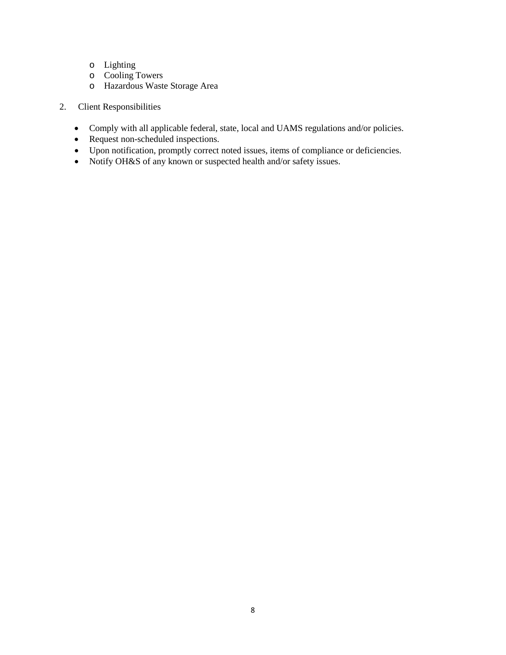- o Lighting
- o Cooling Towers
- o Hazardous Waste Storage Area
- 2. Client Responsibilities
	- Comply with all applicable federal, state, local and UAMS regulations and/or policies.
	- Request non-scheduled inspections.
	- Upon notification, promptly correct noted issues, items of compliance or deficiencies.
	- Notify OH&S of any known or suspected health and/or safety issues.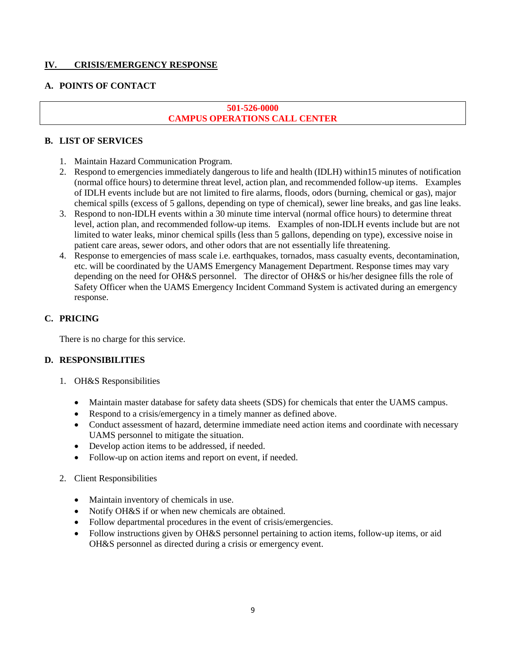# **IV. CRISIS/EMERGENCY RESPONSE**

#### **A. POINTS OF CONTACT**

# **501-526-0000 CAMPUS OPERATIONS CALL CENTER**

#### **B. LIST OF SERVICES**

- 1. Maintain Hazard Communication Program.
- 2. Respond to emergencies immediately dangerous to life and health (IDLH) within15 minutes of notification (normal office hours) to determine threat level, action plan, and recommended follow-up items. Examples of IDLH events include but are not limited to fire alarms, floods, odors (burning, chemical or gas), major chemical spills (excess of 5 gallons, depending on type of chemical), sewer line breaks, and gas line leaks.
- 3. Respond to non-IDLH events within a 30 minute time interval (normal office hours) to determine threat level, action plan, and recommended follow-up items. Examples of non-IDLH events include but are not limited to water leaks, minor chemical spills (less than 5 gallons, depending on type), excessive noise in patient care areas, sewer odors, and other odors that are not essentially life threatening.
- 4. Response to emergencies of mass scale i.e. earthquakes, tornados, mass casualty events, decontamination, etc. will be coordinated by the UAMS Emergency Management Department. Response times may vary depending on the need for OH&S personnel. The director of OH&S or his/her designee fills the role of Safety Officer when the UAMS Emergency Incident Command System is activated during an emergency response.

#### **C. PRICING**

There is no charge for this service.

- 1. OH&S Responsibilities
	- Maintain master database for safety data sheets (SDS) for chemicals that enter the UAMS campus.
	- Respond to a crisis/emergency in a timely manner as defined above.
	- Conduct assessment of hazard, determine immediate need action items and coordinate with necessary UAMS personnel to mitigate the situation.
	- Develop action items to be addressed, if needed.
	- Follow-up on action items and report on event, if needed.
- 2. Client Responsibilities
	- Maintain inventory of chemicals in use.
	- Notify OH&S if or when new chemicals are obtained.
	- Follow departmental procedures in the event of crisis/emergencies.
	- Follow instructions given by OH&S personnel pertaining to action items, follow-up items, or aid OH&S personnel as directed during a crisis or emergency event.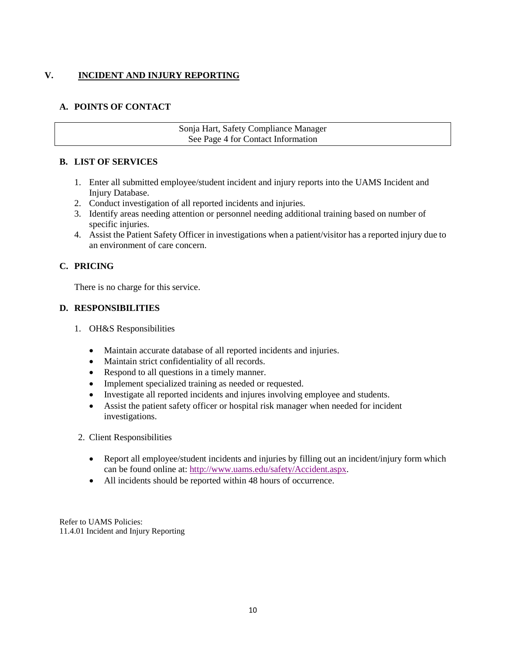# **V. INCIDENT AND INJURY REPORTING**

# **A. POINTS OF CONTACT**

#### Sonja Hart, Safety Compliance Manager See Page 4 for Contact Information

# **B. LIST OF SERVICES**

- 1. Enter all submitted employee/student incident and injury reports into the UAMS Incident and Injury Database.
- 2. Conduct investigation of all reported incidents and injuries.
- 3. Identify areas needing attention or personnel needing additional training based on number of specific injuries.
- 4. Assist the Patient Safety Officer in investigations when a patient/visitor has a reported injury due to an environment of care concern.

# **C. PRICING**

There is no charge for this service.

# **D. RESPONSIBILITIES**

- 1. OH&S Responsibilities
	- Maintain accurate database of all reported incidents and injuries.
	- Maintain strict confidentiality of all records.
	- Respond to all questions in a timely manner.
	- Implement specialized training as needed or requested.
	- Investigate all reported incidents and injures involving employee and students.
	- Assist the patient safety officer or hospital risk manager when needed for incident investigations.
- 2. Client Responsibilities
	- Report all employee/student incidents and injuries by filling out an incident/injury form which can be found online at: [http://www.uams.edu/safety/Accident.aspx.](http://www.uams.edu/safety/Accident.aspx)
	- All incidents should be reported within 48 hours of occurrence.

Refer to UAMS Policies: 11.4.01 Incident and Injury Reporting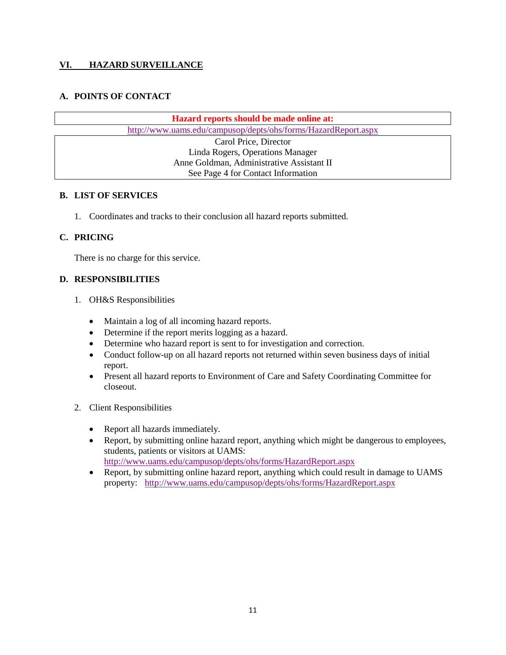## **VI. HAZARD SURVEILLANCE**

# **A. POINTS OF CONTACT**

**Hazard reports should be made online at:** <http://www.uams.edu/campusop/depts/ohs/forms/HazardReport.aspx>

> Carol Price, Director Linda Rogers, Operations Manager Anne Goldman, Administrative Assistant II See Page 4 for Contact Information

#### **B. LIST OF SERVICES**

1. Coordinates and tracks to their conclusion all hazard reports submitted.

#### **C. PRICING**

There is no charge for this service.

- 1. OH&S Responsibilities
	- Maintain a log of all incoming hazard reports.
	- Determine if the report merits logging as a hazard.
	- Determine who hazard report is sent to for investigation and correction.
	- Conduct follow-up on all hazard reports not returned within seven business days of initial report.
	- Present all hazard reports to Environment of Care and Safety Coordinating Committee for closeout.
- 2. Client Responsibilities
	- Report all hazards immediately.
	- Report, by submitting online hazard report, anything which might be dangerous to employees, students, patients or visitors at UAMS: <http://www.uams.edu/campusop/depts/ohs/forms/HazardReport.aspx>
	- Report, by submitting online hazard report, anything which could result in damage to UAMS property: <http://www.uams.edu/campusop/depts/ohs/forms/HazardReport.aspx>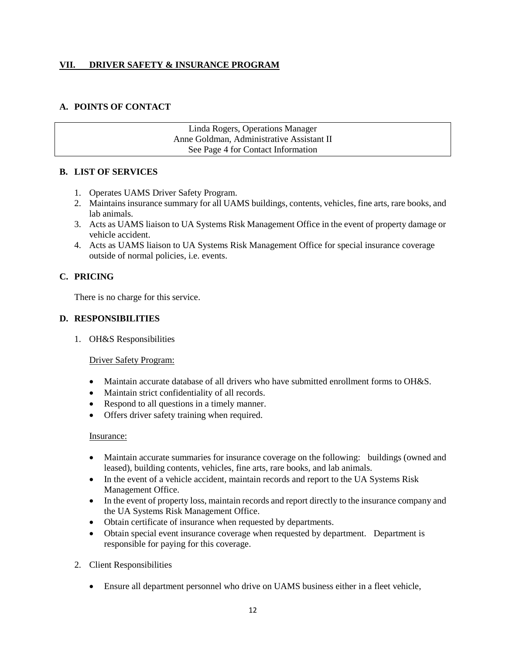## **VII. DRIVER SAFETY & INSURANCE PROGRAM**

# **A. POINTS OF CONTACT**

Linda Rogers, Operations Manager Anne Goldman, Administrative Assistant II See Page 4 for Contact Information

#### **B. LIST OF SERVICES**

- 1. Operates UAMS Driver Safety Program.
- 2. Maintains insurance summary for all UAMS buildings, contents, vehicles, fine arts, rare books, and lab animals.
- 3. Acts as UAMS liaison to UA Systems Risk Management Office in the event of property damage or vehicle accident.
- 4. Acts as UAMS liaison to UA Systems Risk Management Office for special insurance coverage outside of normal policies, i.e. events.

# **C. PRICING**

There is no charge for this service.

# **D. RESPONSIBILITIES**

1. OH&S Responsibilities

#### Driver Safety Program:

- Maintain accurate database of all drivers who have submitted enrollment forms to OH&S.
- Maintain strict confidentiality of all records.
- Respond to all questions in a timely manner.
- Offers driver safety training when required.

#### Insurance:

- Maintain accurate summaries for insurance coverage on the following: buildings (owned and leased), building contents, vehicles, fine arts, rare books, and lab animals.
- In the event of a vehicle accident, maintain records and report to the UA Systems Risk Management Office.
- In the event of property loss, maintain records and report directly to the insurance company and the UA Systems Risk Management Office.
- Obtain certificate of insurance when requested by departments.
- Obtain special event insurance coverage when requested by department. Department is responsible for paying for this coverage.
- 2. Client Responsibilities
	- Ensure all department personnel who drive on UAMS business either in a fleet vehicle,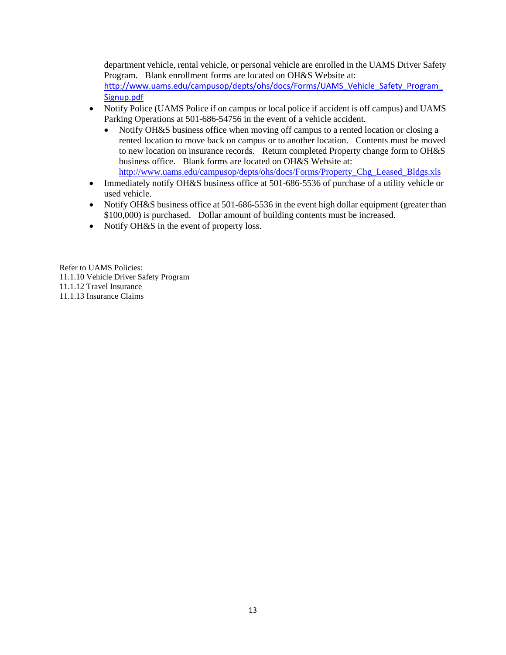department vehicle, rental vehicle, or personal vehicle are enrolled in the UAMS Driver Safety Program. Blank enrollment forms are located on OH&S Website at:

[http://www.uams.edu/campusop/depts/ohs/docs/Forms/UAMS\\_Vehicle\\_Safety\\_Program\\_](http://www.uams.edu/campusop/depts/ohs/docs/Forms/UAMS_Vehicle_Safety_Program_Signup.pdf) [Signup.pdf](http://www.uams.edu/campusop/depts/ohs/docs/Forms/UAMS_Vehicle_Safety_Program_Signup.pdf)

- Notify Police (UAMS Police if on campus or local police if accident is off campus) and UAMS Parking Operations at 501-686-54756 in the event of a vehicle accident.
	- Notify OH&S business office when moving off campus to a rented location or closing a rented location to move back on campus or to another location. Contents must be moved to new location on insurance records. Return completed Property change form to OH&S business office. Blank forms are located on OH&S Website at: [http://www.uams.edu/campusop/depts/ohs/docs/Forms/Property\\_Chg\\_Leased\\_Bldgs.xls](http://www.uams.edu/campusop/depts/ohs/docs/Forms/Property_Chg_Leased_Bldgs.xls)
- Immediately notify OH&S business office at 501-686-5536 of purchase of a utility vehicle or used vehicle.
- Notify OH&S business office at 501-686-5536 in the event high dollar equipment (greater than \$100,000) is purchased. Dollar amount of building contents must be increased.
- Notify OH&S in the event of property loss.

Refer to UAMS Policies: 11.1.10 Vehicle Driver Safety Program 11.1.12 Travel Insurance 11.1.13 Insurance Claims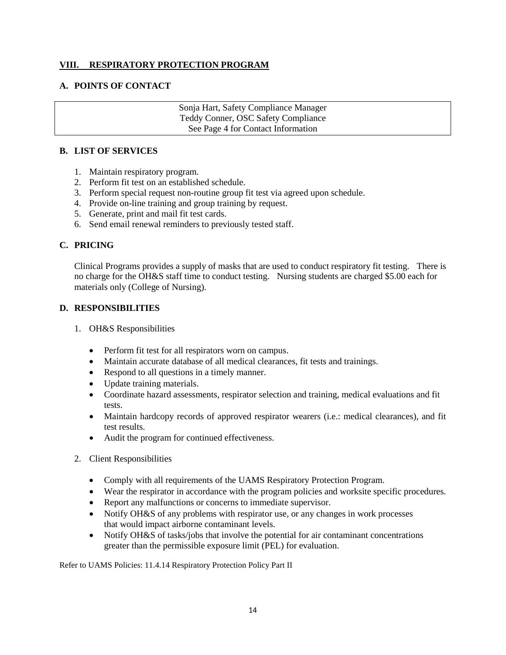#### **VIII. RESPIRATORY PROTECTION PROGRAM**

#### **A. POINTS OF CONTACT**

Sonja Hart, Safety Compliance Manager Teddy Conner, OSC Safety Compliance See Page 4 for Contact Information

#### **B. LIST OF SERVICES**

- 1. Maintain respiratory program.
- 2. Perform fit test on an established schedule.
- 3. Perform special request non-routine group fit test via agreed upon schedule.
- 4. Provide on-line training and group training by request.
- 5. Generate, print and mail fit test cards.
- 6. Send email renewal reminders to previously tested staff.

#### **C. PRICING**

Clinical Programs provides a supply of masks that are used to conduct respiratory fit testing. There is no charge for the OH&S staff time to conduct testing. Nursing students are charged \$5.00 each for materials only (College of Nursing).

#### **D. RESPONSIBILITIES**

- 1. OH&S Responsibilities
	- Perform fit test for all respirators worn on campus.
	- Maintain accurate database of all medical clearances, fit tests and trainings.
	- Respond to all questions in a timely manner.
	- Update training materials.
	- Coordinate hazard assessments, respirator selection and training, medical evaluations and fit tests.
	- Maintain hardcopy records of approved respirator wearers (i.e.: medical clearances), and fit test results.
	- Audit the program for continued effectiveness.
- 2. Client Responsibilities
	- Comply with all requirements of the UAMS Respiratory Protection Program.
	- Wear the respirator in accordance with the program policies and worksite specific procedures.
	- Report any malfunctions or concerns to immediate supervisor.
	- Notify OH&S of any problems with respirator use, or any changes in work processes that would impact airborne contaminant levels.
	- Notify OH&S of tasks/jobs that involve the potential for air contaminant concentrations greater than the permissible exposure limit (PEL) for evaluation.

Refer to UAMS Policies: 11.4.14 Respiratory Protection Policy Part II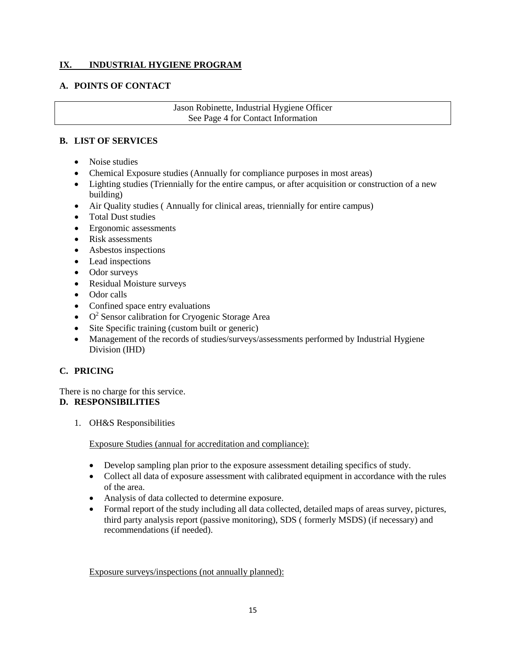# **IX. INDUSTRIAL HYGIENE PROGRAM**

#### **A. POINTS OF CONTACT**

Jason Robinette, Industrial Hygiene Officer See Page 4 for Contact Information

#### **B. LIST OF SERVICES**

- Noise studies
- Chemical Exposure studies (Annually for compliance purposes in most areas)
- Lighting studies (Triennially for the entire campus, or after acquisition or construction of a new building)
- Air Quality studies ( Annually for clinical areas, triennially for entire campus)
- Total Dust studies
- Ergonomic assessments
- Risk assessments
- Asbestos inspections
- Lead inspections
- Odor surveys
- Residual Moisture surveys
- Odor calls
- Confined space entry evaluations
- $\bullet$  O<sup>2</sup> Sensor calibration for Cryogenic Storage Area
- Site Specific training (custom built or generic)
- Management of the records of studies/surveys/assessments performed by Industrial Hygiene Division (IHD)

# **C. PRICING**

There is no charge for this service.

#### **D. RESPONSIBILITIES**

1. OH&S Responsibilities

Exposure Studies (annual for accreditation and compliance):

- Develop sampling plan prior to the exposure assessment detailing specifics of study.
- Collect all data of exposure assessment with calibrated equipment in accordance with the rules of the area.
- Analysis of data collected to determine exposure.
- Formal report of the study including all data collected, detailed maps of areas survey, pictures, third party analysis report (passive monitoring), SDS ( formerly MSDS) (if necessary) and recommendations (if needed).

Exposure surveys/inspections (not annually planned):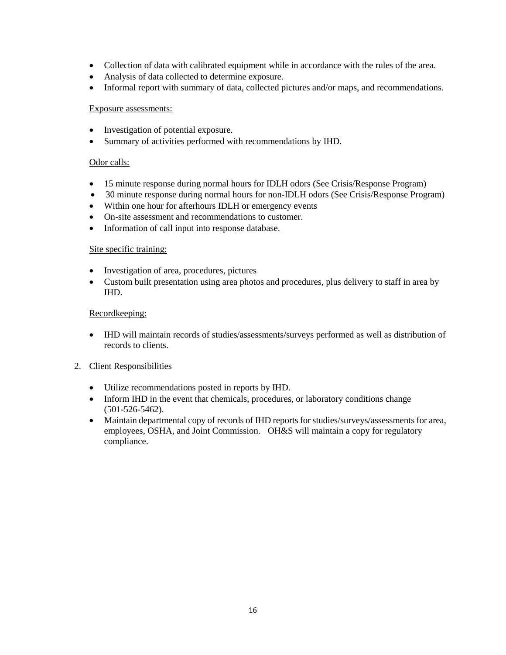- Collection of data with calibrated equipment while in accordance with the rules of the area.
- Analysis of data collected to determine exposure.
- Informal report with summary of data, collected pictures and/or maps, and recommendations.

#### Exposure assessments:

- Investigation of potential exposure.
- Summary of activities performed with recommendations by IHD.

#### Odor calls:

- 15 minute response during normal hours for IDLH odors (See Crisis/Response Program)
- 30 minute response during normal hours for non-IDLH odors (See Crisis/Response Program)
- Within one hour for afterhours IDLH or emergency events
- On-site assessment and recommendations to customer.
- Information of call input into response database.

#### Site specific training:

- Investigation of area, procedures, pictures
- Custom built presentation using area photos and procedures, plus delivery to staff in area by IHD.

#### Recordkeeping:

• IHD will maintain records of studies/assessments/surveys performed as well as distribution of records to clients.

#### 2. Client Responsibilities

- Utilize recommendations posted in reports by IHD.
- Inform IHD in the event that chemicals, procedures, or laboratory conditions change (501-526-5462).
- Maintain departmental copy of records of IHD reports for studies/surveys/assessments for area, employees, OSHA, and Joint Commission. OH&S will maintain a copy for regulatory compliance.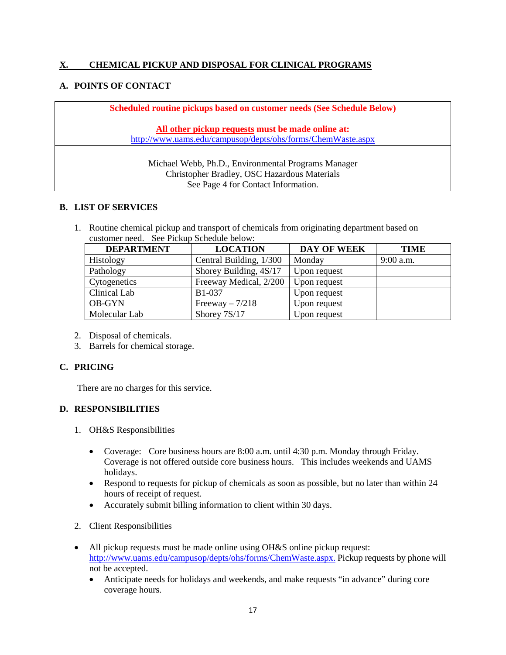## **X. CHEMICAL PICKUP AND DISPOSAL FOR CLINICAL PROGRAMS**

#### **A. POINTS OF CONTACT**

**Scheduled routine pickups based on customer needs (See Schedule Below) All other pickup requests must be made online at:** <http://www.uams.edu/campusop/depts/ohs/forms/ChemWaste.aspx> Michael Webb, Ph.D., Environmental Programs Manager Christopher Bradley, OSC Hazardous Materials

# See Page 4 for Contact Information.

#### **B. LIST OF SERVICES**

1. Routine chemical pickup and transport of chemicals from originating department based on customer need. See Pickup Schedule below:

| <b>DEPARTMENT</b> | <b>LOCATION</b>         | DAY OF WEEK  | <b>TIME</b> |
|-------------------|-------------------------|--------------|-------------|
| <b>Histology</b>  | Central Building, 1/300 | Monday       | $9:00$ a.m. |
| Pathology         | Shorey Building, 4S/17  | Upon request |             |
| Cytogenetics      | Freeway Medical, 2/200  | Upon request |             |
| Clinical Lab      | <b>B1-037</b>           | Upon request |             |
| <b>OB-GYN</b>     | Freeway $-7/218$        | Upon request |             |
| Molecular Lab     | Shorey 7S/17            | Upon request |             |

- 2. Disposal of chemicals.
- 3. Barrels for chemical storage.

#### **C. PRICING**

There are no charges for this service.

- 1. OH&S Responsibilities
	- Coverage: Core business hours are 8:00 a.m. until 4:30 p.m. Monday through Friday. Coverage is not offered outside core business hours. This includes weekends and UAMS holidays.
	- Respond to requests for pickup of chemicals as soon as possible, but no later than within 24 hours of receipt of request.
	- Accurately submit billing information to client within 30 days.
- 2. Client Responsibilities
- All pickup requests must be made online using OH&S online pickup request: [http://www.uams.edu/campusop/depts/ohs/forms/ChemWaste.aspx.](http://www.uams.edu/campusop/depts/ohs/forms/ChemWaste.aspx) Pickup requests by phone will not be accepted.
	- Anticipate needs for holidays and weekends, and make requests "in advance" during core coverage hours.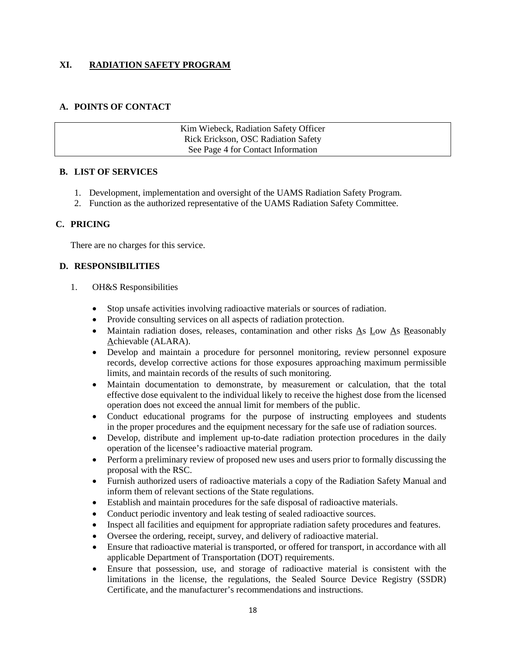## **XI. RADIATION SAFETY PROGRAM**

#### **A. POINTS OF CONTACT**

| Kim Wiebeck, Radiation Safety Officer |  |
|---------------------------------------|--|
| Rick Erickson, OSC Radiation Safety   |  |
| See Page 4 for Contact Information    |  |

#### **B. LIST OF SERVICES**

- 1. Development, implementation and oversight of the UAMS Radiation Safety Program.
- 2. Function as the authorized representative of the UAMS Radiation Safety Committee.

#### **C. PRICING**

There are no charges for this service.

- 1. OH&S Responsibilities
	- Stop unsafe activities involving radioactive materials or sources of radiation.
	- Provide consulting services on all aspects of radiation protection.
	- Maintain radiation doses, releases, contamination and other risks As Low As Reasonably Achievable (ALARA).
	- Develop and maintain a procedure for personnel monitoring, review personnel exposure records, develop corrective actions for those exposures approaching maximum permissible limits, and maintain records of the results of such monitoring.
	- Maintain documentation to demonstrate, by measurement or calculation, that the total effective dose equivalent to the individual likely to receive the highest dose from the licensed operation does not exceed the annual limit for members of the public.
	- Conduct educational programs for the purpose of instructing employees and students in the proper procedures and the equipment necessary for the safe use of radiation sources.
	- Develop, distribute and implement up-to-date radiation protection procedures in the daily operation of the licensee's radioactive material program.
	- Perform a preliminary review of proposed new uses and users prior to formally discussing the proposal with the RSC.
	- Furnish authorized users of radioactive materials a copy of the Radiation Safety Manual and inform them of relevant sections of the State regulations.
	- Establish and maintain procedures for the safe disposal of radioactive materials.
	- Conduct periodic inventory and leak testing of sealed radioactive sources.
	- Inspect all facilities and equipment for appropriate radiation safety procedures and features.
	- Oversee the ordering, receipt, survey, and delivery of radioactive material.
	- Ensure that radioactive material is transported, or offered for transport, in accordance with all applicable Department of Transportation (DOT) requirements.
	- Ensure that possession, use, and storage of radioactive material is consistent with the limitations in the license, the regulations, the Sealed Source Device Registry (SSDR) Certificate, and the manufacturer's recommendations and instructions.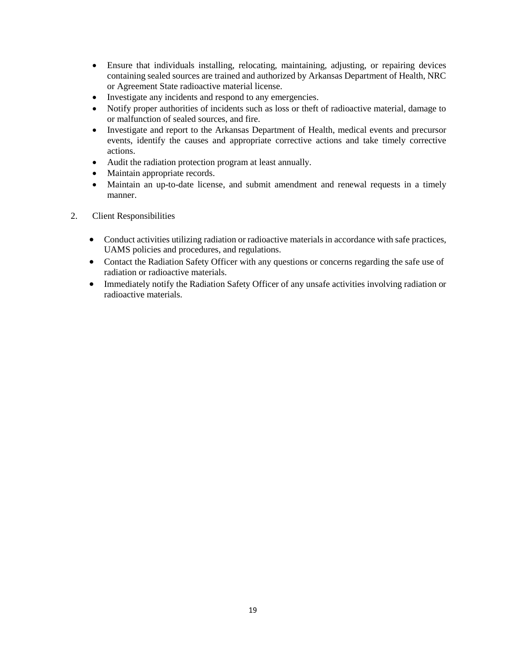- Ensure that individuals installing, relocating, maintaining, adjusting, or repairing devices containing sealed sources are trained and authorized by Arkansas Department of Health, NRC or Agreement State radioactive material license.
- Investigate any incidents and respond to any emergencies.
- Notify proper authorities of incidents such as loss or theft of radioactive material, damage to or malfunction of sealed sources, and fire.
- Investigate and report to the Arkansas Department of Health, medical events and precursor events, identify the causes and appropriate corrective actions and take timely corrective actions.
- Audit the radiation protection program at least annually.
- Maintain appropriate records.
- Maintain an up-to-date license, and submit amendment and renewal requests in a timely manner.
- 2. Client Responsibilities
	- Conduct activities utilizing radiation or radioactive materials in accordance with safe practices, UAMS policies and procedures, and regulations.
	- Contact the Radiation Safety Officer with any questions or concerns regarding the safe use of radiation or radioactive materials.
	- Immediately notify the Radiation Safety Officer of any unsafe activities involving radiation or radioactive materials.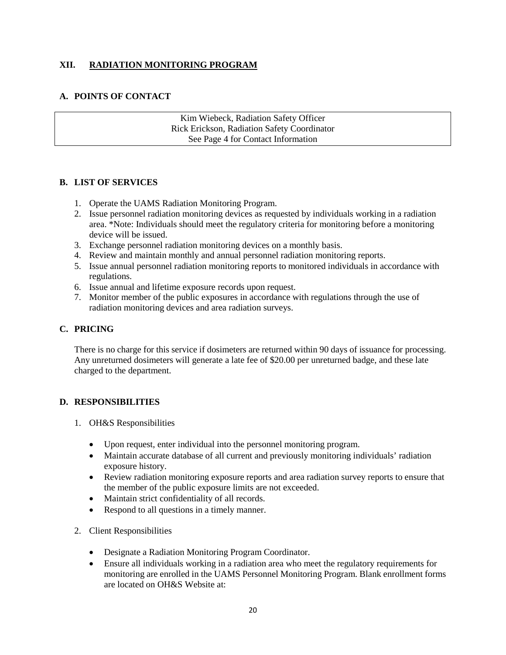## **XII. RADIATION MONITORING PROGRAM**

#### **A. POINTS OF CONTACT**

Kim Wiebeck, Radiation Safety Officer Rick Erickson, Radiation Safety Coordinator See Page 4 for Contact Information

#### **B. LIST OF SERVICES**

- 1. Operate the UAMS Radiation Monitoring Program.
- 2. Issue personnel radiation monitoring devices as requested by individuals working in a radiation area. \*Note: Individuals should meet the regulatory criteria for monitoring before a monitoring device will be issued.
- 3. Exchange personnel radiation monitoring devices on a monthly basis.
- 4. Review and maintain monthly and annual personnel radiation monitoring reports.
- 5. Issue annual personnel radiation monitoring reports to monitored individuals in accordance with regulations.
- 6. Issue annual and lifetime exposure records upon request.
- 7. Monitor member of the public exposures in accordance with regulations through the use of radiation monitoring devices and area radiation surveys.

#### **C. PRICING**

There is no charge for this service if dosimeters are returned within 90 days of issuance for processing. Any unreturned dosimeters will generate a late fee of \$20.00 per unreturned badge, and these late charged to the department.

- 1. OH&S Responsibilities
	- Upon request, enter individual into the personnel monitoring program.
	- Maintain accurate database of all current and previously monitoring individuals' radiation exposure history.
	- Review radiation monitoring exposure reports and area radiation survey reports to ensure that the member of the public exposure limits are not exceeded.
	- Maintain strict confidentiality of all records.
	- Respond to all questions in a timely manner.
- 2. Client Responsibilities
	- Designate a Radiation Monitoring Program Coordinator.
	- Ensure all individuals working in a radiation area who meet the regulatory requirements for monitoring are enrolled in the UAMS Personnel Monitoring Program. Blank enrollment forms are located on OH&S Website at: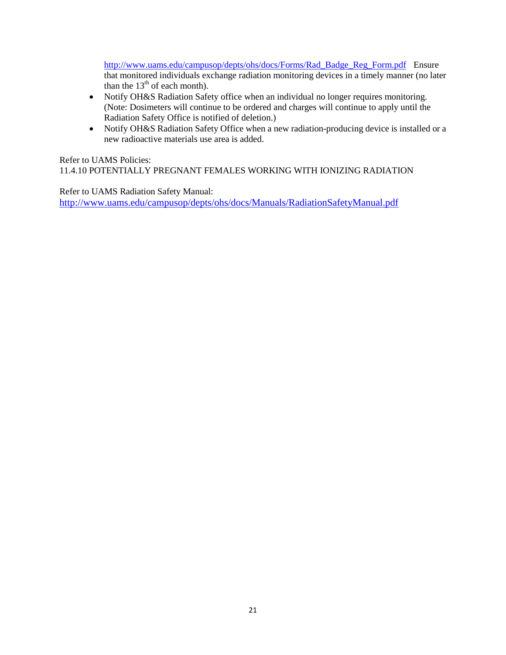[http://www.uams.edu/campusop/depts/ohs/docs/Forms/Rad\\_Badge\\_Reg\\_Form.pdf](http://www.uams.edu/campusop/depts/ohs/docs/Forms/Rad_Badge_Reg_Form.pdf) Ensure that monitored individuals exchange radiation monitoring devices in a timely manner (no later than the  $13<sup>th</sup>$  of each month).

- Notify OH&S Radiation Safety office when an individual no longer requires monitoring. (Note: Dosimeters will continue to be ordered and charges will continue to apply until the Radiation Safety Office is notified of deletion.)
- Notify OH&S Radiation Safety Office when a new radiation-producing device is installed or a new radioactive materials use area is added.

Refer to UAMS Policies:

11.4.10 POTENTIALLY PREGNANT FEMALES WORKING WITH IONIZING RADIATION

Refer to UAMS Radiation Safety Manual: <http://www.uams.edu/campusop/depts/ohs/docs/Manuals/RadiationSafetyManual.pdf>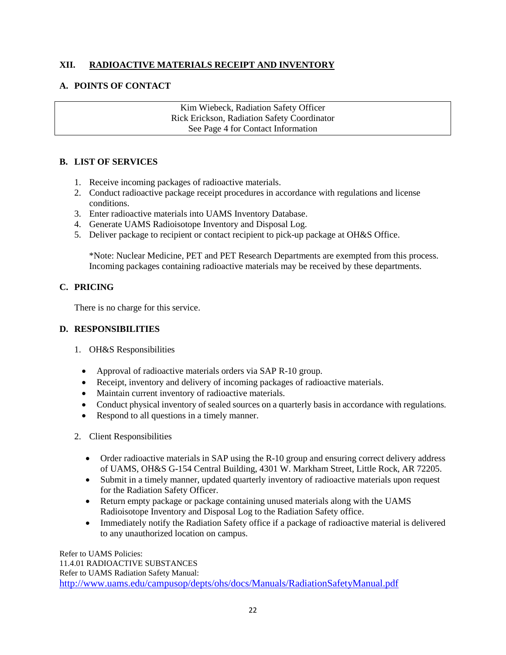# **XII. RADIOACTIVE MATERIALS RECEIPT AND INVENTORY**

#### **A. POINTS OF CONTACT**

Kim Wiebeck, Radiation Safety Officer Rick Erickson, Radiation Safety Coordinator See Page 4 for Contact Information

## **B. LIST OF SERVICES**

- 1. Receive incoming packages of radioactive materials.
- 2. Conduct radioactive package receipt procedures in accordance with regulations and license conditions.
- 3. Enter radioactive materials into UAMS Inventory Database.
- 4. Generate UAMS Radioisotope Inventory and Disposal Log.
- 5. Deliver package to recipient or contact recipient to pick-up package at OH&S Office.

\*Note: Nuclear Medicine, PET and PET Research Departments are exempted from this process. Incoming packages containing radioactive materials may be received by these departments.

#### **C. PRICING**

There is no charge for this service.

#### **D. RESPONSIBILITIES**

- 1. OH&S Responsibilities
	- Approval of radioactive materials orders via SAP R-10 group.
	- Receipt, inventory and delivery of incoming packages of radioactive materials.
	- Maintain current inventory of radioactive materials.
	- Conduct physical inventory of sealed sources on a quarterly basis in accordance with regulations.
	- Respond to all questions in a timely manner.
- 2. Client Responsibilities
	- Order radioactive materials in SAP using the R-10 group and ensuring correct delivery address of UAMS, OH&S G-154 Central Building, 4301 W. Markham Street, Little Rock, AR 72205.
	- Submit in a timely manner, updated quarterly inventory of radioactive materials upon request for the Radiation Safety Officer.
	- Return empty package or package containing unused materials along with the UAMS Radioisotope Inventory and Disposal Log to the Radiation Safety office.
	- Immediately notify the Radiation Safety office if a package of radioactive material is delivered to any unauthorized location on campus.

Refer to UAMS Policies: 11.4.01 RADIOACTIVE SUBSTANCES Refer to UAMS Radiation Safety Manual: <http://www.uams.edu/campusop/depts/ohs/docs/Manuals/RadiationSafetyManual.pdf>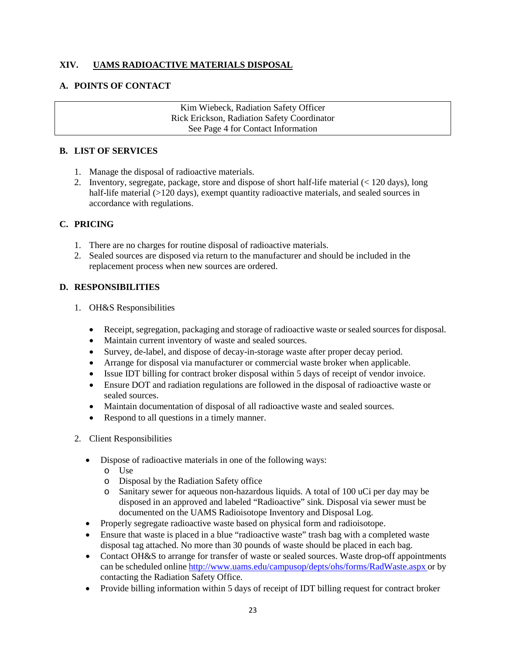# **XIV. UAMS RADIOACTIVE MATERIALS DISPOSAL**

## **A. POINTS OF CONTACT**

Kim Wiebeck, Radiation Safety Officer Rick Erickson, Radiation Safety Coordinator See Page 4 for Contact Information

#### **B. LIST OF SERVICES**

- 1. Manage the disposal of radioactive materials.
- 2. Inventory, segregate, package, store and dispose of short half-life material (< 120 days), long half-life material (>120 days), exempt quantity radioactive materials, and sealed sources in accordance with regulations.

#### **C. PRICING**

- 1. There are no charges for routine disposal of radioactive materials.
- 2. Sealed sources are disposed via return to the manufacturer and should be included in the replacement process when new sources are ordered.

- 1. OH&S Responsibilities
	- Receipt, segregation, packaging and storage of radioactive waste or sealed sources for disposal.
	- Maintain current inventory of waste and sealed sources.
	- Survey, de-label, and dispose of decay-in-storage waste after proper decay period.
	- Arrange for disposal via manufacturer or commercial waste broker when applicable.
	- Issue IDT billing for contract broker disposal within 5 days of receipt of vendor invoice.
	- Ensure DOT and radiation regulations are followed in the disposal of radioactive waste or sealed sources.
	- Maintain documentation of disposal of all radioactive waste and sealed sources.
	- Respond to all questions in a timely manner.
- 2. Client Responsibilities
	- Dispose of radioactive materials in one of the following ways:
		- o Use
		- o Disposal by the Radiation Safety office
		- Sanitary sewer for aqueous non-hazardous liquids. A total of 100 uCi per day may be disposed in an approved and labeled "Radioactive" sink. Disposal via sewer must be documented on the UAMS Radioisotope Inventory and Disposal Log.
	- Properly segregate radioactive waste based on physical form and radioisotope.
	- Ensure that waste is placed in a blue "radioactive waste" trash bag with a completed waste disposal tag attached. No more than 30 pounds of waste should be placed in each bag.
	- Contact OH&S to arrange for transfer of waste or sealed sources. Waste drop-off appointments can be scheduled onlin[e http://www.uams.edu/campusop/depts/ohs/forms/RadWaste.aspx](http://www.uams.edu/campusop/depts/ohs/forms/RadWaste.aspx) or by contacting the Radiation Safety Office.
	- Provide billing information within 5 days of receipt of IDT billing request for contract broker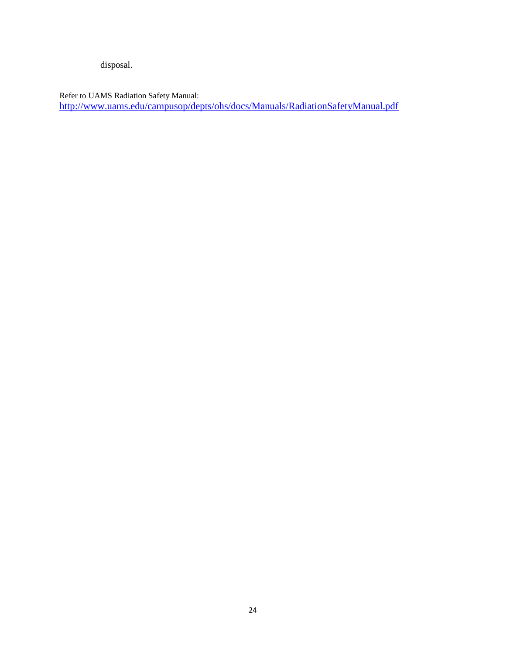disposal.

Refer to UAMS Radiation Safety Manual: <http://www.uams.edu/campusop/depts/ohs/docs/Manuals/RadiationSafetyManual.pdf>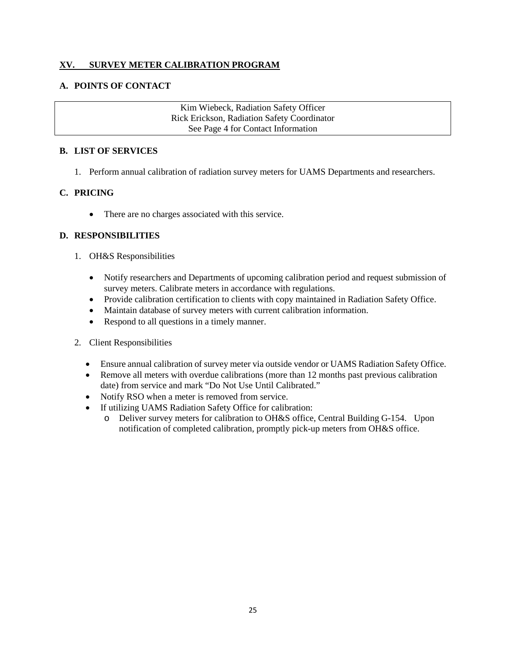#### **XV. SURVEY METER CALIBRATION PROGRAM**

#### **A. POINTS OF CONTACT**

Kim Wiebeck, Radiation Safety Officer Rick Erickson, Radiation Safety Coordinator See Page 4 for Contact Information

#### **B. LIST OF SERVICES**

1. Perform annual calibration of radiation survey meters for UAMS Departments and researchers.

#### **C. PRICING**

• There are no charges associated with this service.

- 1. OH&S Responsibilities
	- Notify researchers and Departments of upcoming calibration period and request submission of survey meters. Calibrate meters in accordance with regulations.
	- Provide calibration certification to clients with copy maintained in Radiation Safety Office.
	- Maintain database of survey meters with current calibration information.
	- Respond to all questions in a timely manner.
- 2. Client Responsibilities
	- Ensure annual calibration of survey meter via outside vendor or UAMS Radiation Safety Office.
	- Remove all meters with overdue calibrations (more than 12 months past previous calibration date) from service and mark "Do Not Use Until Calibrated."
	- Notify RSO when a meter is removed from service.
	- If utilizing UAMS Radiation Safety Office for calibration:
		- o Deliver survey meters for calibration to OH&S office, Central Building G-154. Upon notification of completed calibration, promptly pick-up meters from OH&S office.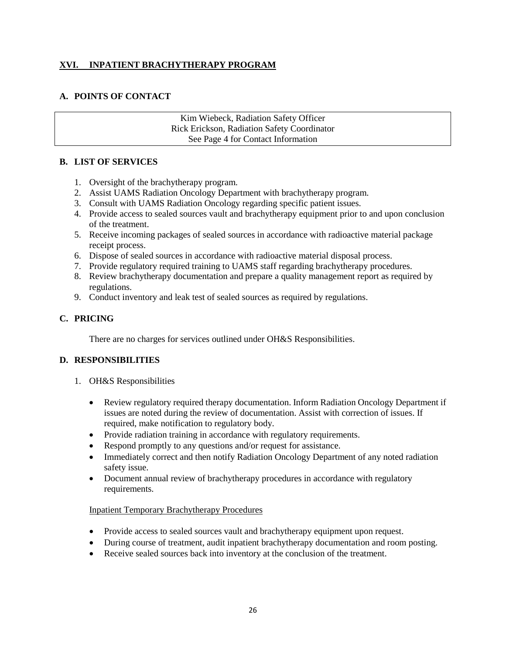## **XVI. INPATIENT BRACHYTHERAPY PROGRAM**

# **A. POINTS OF CONTACT**

Kim Wiebeck, Radiation Safety Officer Rick Erickson, Radiation Safety Coordinator See Page 4 for Contact Information

#### **B. LIST OF SERVICES**

- 1. Oversight of the brachytherapy program.
- 2. Assist UAMS Radiation Oncology Department with brachytherapy program.
- 3. Consult with UAMS Radiation Oncology regarding specific patient issues.
- 4. Provide access to sealed sources vault and brachytherapy equipment prior to and upon conclusion of the treatment.
- 5. Receive incoming packages of sealed sources in accordance with radioactive material package receipt process.
- 6. Dispose of sealed sources in accordance with radioactive material disposal process.
- 7. Provide regulatory required training to UAMS staff regarding brachytherapy procedures.
- 8. Review brachytherapy documentation and prepare a quality management report as required by regulations.
- 9. Conduct inventory and leak test of sealed sources as required by regulations.

## **C. PRICING**

There are no charges for services outlined under OH&S Responsibilities.

#### **D. RESPONSIBILITIES**

- 1. OH&S Responsibilities
	- Review regulatory required therapy documentation. Inform Radiation Oncology Department if issues are noted during the review of documentation. Assist with correction of issues. If required, make notification to regulatory body.
	- Provide radiation training in accordance with regulatory requirements.
	- Respond promptly to any questions and/or request for assistance.
	- Immediately correct and then notify Radiation Oncology Department of any noted radiation safety issue.
	- Document annual review of brachytherapy procedures in accordance with regulatory requirements.

#### Inpatient Temporary Brachytherapy Procedures

- Provide access to sealed sources vault and brachytherapy equipment upon request.
- During course of treatment, audit inpatient brachytherapy documentation and room posting.
- Receive sealed sources back into inventory at the conclusion of the treatment.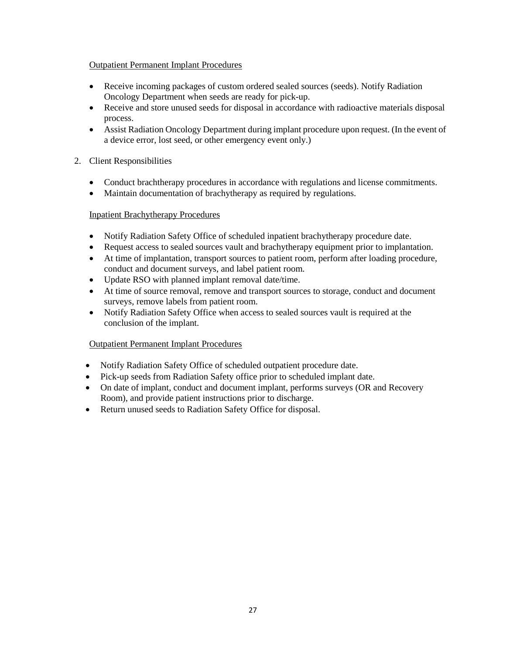#### Outpatient Permanent Implant Procedures

- Receive incoming packages of custom ordered sealed sources (seeds). Notify Radiation Oncology Department when seeds are ready for pick-up.
- Receive and store unused seeds for disposal in accordance with radioactive materials disposal process.
- Assist Radiation Oncology Department during implant procedure upon request. (In the event of a device error, lost seed, or other emergency event only.)

#### 2. Client Responsibilities

- Conduct brachtherapy procedures in accordance with regulations and license commitments.
- Maintain documentation of brachytherapy as required by regulations.

#### Inpatient Brachytherapy Procedures

- Notify Radiation Safety Office of scheduled inpatient brachytherapy procedure date.
- Request access to sealed sources vault and brachytherapy equipment prior to implantation.
- At time of implantation, transport sources to patient room, perform after loading procedure, conduct and document surveys, and label patient room.
- Update RSO with planned implant removal date/time.
- At time of source removal, remove and transport sources to storage, conduct and document surveys, remove labels from patient room.
- Notify Radiation Safety Office when access to sealed sources vault is required at the conclusion of the implant.

#### Outpatient Permanent Implant Procedures

- Notify Radiation Safety Office of scheduled outpatient procedure date.
- Pick-up seeds from Radiation Safety office prior to scheduled implant date.
- On date of implant, conduct and document implant, performs surveys (OR and Recovery Room), and provide patient instructions prior to discharge.
- Return unused seeds to Radiation Safety Office for disposal.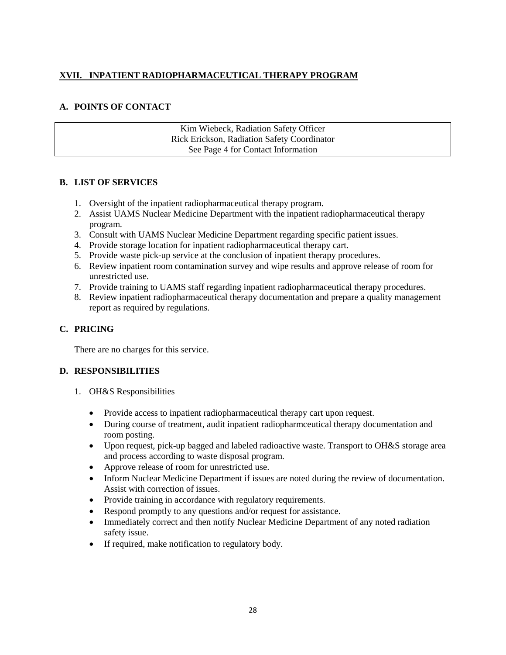# **XVII. INPATIENT RADIOPHARMACEUTICAL THERAPY PROGRAM**

# **A. POINTS OF CONTACT**

Kim Wiebeck, Radiation Safety Officer Rick Erickson, Radiation Safety Coordinator See Page 4 for Contact Information

# **B. LIST OF SERVICES**

- 1. Oversight of the inpatient radiopharmaceutical therapy program.
- 2. Assist UAMS Nuclear Medicine Department with the inpatient radiopharmaceutical therapy program.
- 3. Consult with UAMS Nuclear Medicine Department regarding specific patient issues.
- 4. Provide storage location for inpatient radiopharmaceutical therapy cart.
- 5. Provide waste pick-up service at the conclusion of inpatient therapy procedures.
- 6. Review inpatient room contamination survey and wipe results and approve release of room for unrestricted use.
- 7. Provide training to UAMS staff regarding inpatient radiopharmaceutical therapy procedures.
- 8. Review inpatient radiopharmaceutical therapy documentation and prepare a quality management report as required by regulations.

# **C. PRICING**

There are no charges for this service.

- 1. OH&S Responsibilities
	- Provide access to inpatient radiopharmaceutical therapy cart upon request.
	- During course of treatment, audit inpatient radiopharmceutical therapy documentation and room posting.
	- Upon request, pick-up bagged and labeled radioactive waste. Transport to OH&S storage area and process according to waste disposal program.
	- Approve release of room for unrestricted use.
	- Inform Nuclear Medicine Department if issues are noted during the review of documentation. Assist with correction of issues.
	- Provide training in accordance with regulatory requirements.
	- Respond promptly to any questions and/or request for assistance.
	- Immediately correct and then notify Nuclear Medicine Department of any noted radiation safety issue.
	- If required, make notification to regulatory body.